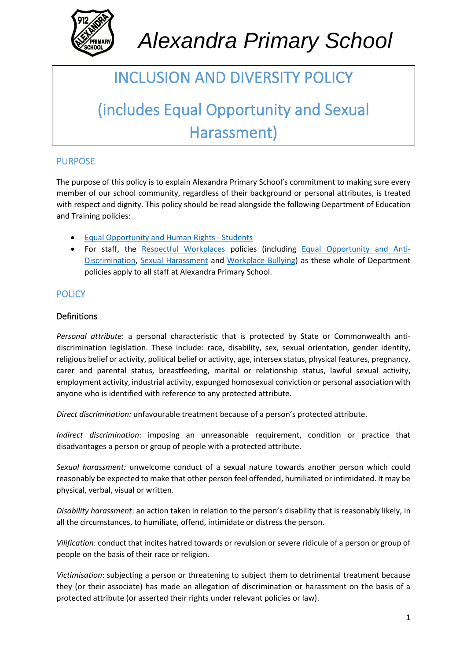

# *Alexandra Primary School*

### INCLUSION AND DIVERSITY POLICY

## (includes Equal Opportunity and Sexual Harassment)

#### PURPOSE

The purpose of this policy is to explain Alexandra Primary School's commitment to making sure every member of our school community, regardless of their background or personal attributes, is treated with respect and dignity. This policy should be read alongside the following Department of Education and Training policies:

- Equal Opportunity and Human Rights Students
- For staff, the Respectful Workplaces policies (including Equal Opportunity and Anti-Discrimination, Sexual Harassment and Workplace Bullying) as these whole of Department policies apply to all staff at Alexandra Primary School.

#### **POLICY**

#### Definitions

*Personal attribute*: a personal characteristic that is protected by State or Commonwealth antidiscrimination legislation. These include: race, disability, sex, sexual orientation, gender identity, religious belief or activity, political belief or activity, age, intersex status, physical features, pregnancy, carer and parental status, breastfeeding, marital or relationship status, lawful sexual activity, employment activity, industrial activity, expunged homosexual conviction or personal association with anyone who is identified with reference to any protected attribute.

*Direct discrimination:* unfavourable treatment because of a person's protected attribute.

*Indirect discrimination*: imposing an unreasonable requirement, condition or practice that disadvantages a person or group of people with a protected attribute.

*Sexual harassment:* unwelcome conduct of a sexual nature towards another person which could reasonably be expected to make that other person feel offended, humiliated or intimidated. It may be physical, verbal, visual or written.

*Disability harassment*: an action taken in relation to the person's disability that is reasonably likely, in all the circumstances, to humiliate, offend, intimidate or distress the person.

*Vilification*: conduct that incites hatred towards or revulsion or severe ridicule of a person or group of people on the basis of their race or religion.

*Victimisation*: subjecting a person or threatening to subject them to detrimental treatment because they (or their associate) has made an allegation of discrimination or harassment on the basis of a protected attribute (or asserted their rights under relevant policies or law).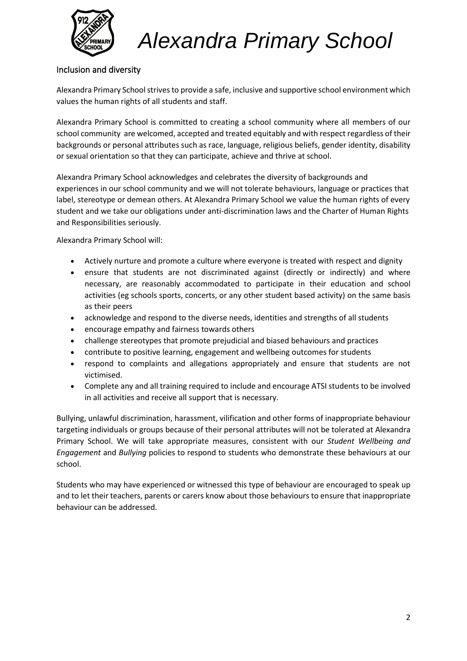

*Alexandra Primary School*

#### Inclusion and diversity

Alexandra Primary School strives to provide a safe, inclusive and supportive school environment which values the human rights of all students and staff.

Alexandra Primary School is committed to creating a school community where all members of our school community are welcomed, accepted and treated equitably and with respect regardless of their backgrounds or personal attributes such as race, language, religious beliefs, gender identity, disability or sexual orientation so that they can participate, achieve and thrive at school.

Alexandra Primary School acknowledges and celebrates the diversity of backgrounds and experiences in our school community and we will not tolerate behaviours, language or practices that label, stereotype or demean others. At Alexandra Primary School we value the human rights of every student and we take our obligations under anti-discrimination laws and the Charter of Human Rights and Responsibilities seriously.

Alexandra Primary School will:

- Actively nurture and promote a culture where everyone is treated with respect and dignity
- ensure that students are not discriminated against (directly or indirectly) and where necessary, are reasonably accommodated to participate in their education and school activities (eg schools sports, concerts, or any other student based activity) on the same basis as their peers
- acknowledge and respond to the diverse needs, identities and strengths of all students
- encourage empathy and fairness towards others
- challenge stereotypes that promote prejudicial and biased behaviours and practices
- contribute to positive learning, engagement and wellbeing outcomes for students
- respond to complaints and allegations appropriately and ensure that students are not victimised.
- Complete any and all training required to include and encourage ATSI students to be involved in all activities and receive all support that is necessary.

Bullying, unlawful discrimination, harassment, vilification and other forms of inappropriate behaviour targeting individuals or groups because of their personal attributes will not be tolerated at Alexandra Primary School. We will take appropriate measures, consistent with our *Student Wellbeing and Engagement* and *Bullying* policies to respond to students who demonstrate these behaviours at our school.

Students who may have experienced or witnessed this type of behaviour are encouraged to speak up and to let their teachers, parents or carers know about those behaviours to ensure that inappropriate behaviour can be addressed.